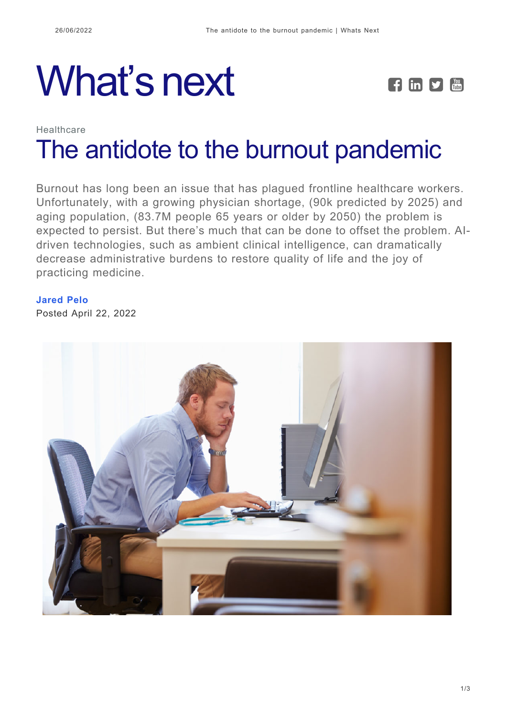# What's next **FEPE**



## Healthcare [The antidote to the burnout pandemic](https://whatsnext.nuance.com/healthcare/ambient-clinical-intelligence-the-antidote-to-burnout/)

Burnout has long been an issue that has plagued frontline healthcare workers. Unfortunately, with a growing physician shortage, (90k predicted by 2025) and aging population, (83.7M people 65 years or older by 2050) the problem is expected to persist. But there's much that can be done to offset the problem. AIdriven technologies, such as ambient clinical intelligence, can dramatically decrease administrative burdens to restore quality of life and the joy of practicing medicine.

#### **[Jared Pelo](https://whatsnext.nuance.com/author/jaredpelo/)**

Posted April 22, 2022

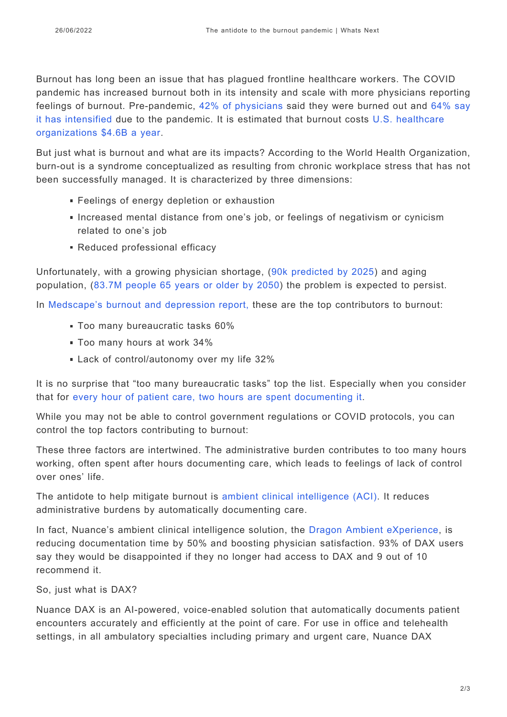Burnout has long been an issue that has plagued frontline healthcare workers. The COVID pandemic has increased burnout both in its intensity and scale with more physicians reporting feelings of burnout. Pre-pandemic, [42% of physicians](https://medscape.com/slideshow/2020-lifestyle-burnout-6012460) said they were burned out and [64% say](https://www.aafp.org/journals/fpm/blogs/inpractice/entry/covid_burnout_survey.html#:~:text=Physician%20burnout%20was%20already%20a,5%2C000%20%E2%80%94%20practice%20in%20the%20U.S) [it has intensified](https://www.aafp.org/journals/fpm/blogs/inpractice/entry/covid_burnout_survey.html#:~:text=Physician%20burnout%20was%20already%20a,5%2C000%20%E2%80%94%20practice%20in%20the%20U.S) due to the pandemic. It is estimated that burnout costs [U.S. healthcare](https://www.nejm.org/doi/full/10.1056/NEJMp2003149) [organizations \\$4.6B a year.](https://www.nejm.org/doi/full/10.1056/NEJMp2003149)

But just what is burnout and what are its impacts? According to the World Health Organization, burn-out is a syndrome conceptualized as resulting from chronic workplace stress that has not been successfully managed. It is characterized by three dimensions:

- **Feelings of energy depletion or exhaustion**
- Increased mental distance from one's job, or feelings of negativism or cynicism related to one's job
- Reduced professional efficacy

Unfortunately, with a growing physician shortage, ([90k predicted by 2025\)](https://www.healthcarefinancenews.com/news/doctor-shortage-hit-90000-2025-report-says) and aging population, ([83.7M people 65 years or older by 2050](https://www.clinicaladvisor.com/home/web-exclusives/elderly-population-will-reach-83-7m-by-2050/)) the problem is expected to persist.

In [Medscape's burnout and depression report,](https://login.medscape.com/login/sso/getlogin?wcode=102&client=205502&urlCache=aHR0cHM6Ly93d3cubWVkc2NhcGUuY29tL3NsaWRlc2hvdy8yMDIyLWxpZmVzdHlsZS1idXJub3V0LTYwMTQ2NjQ&sc=ng&scode=msp) these are the top contributors to burnout:

- **Too many bureaucratic tasks 60%**
- Too many hours at work 34%
- **Lack of control/autonomy over my life 32%**

It is no surprise that "too many bureaucratic tasks" top the list. Especially when you consider that for [every hour of patient care, two hours are spent documenting it](https://www.acpjournals.org/doi/10.7326/M16-0961).

While you may not be able to control government regulations or COVID protocols, you can control the top factors contributing to burnout:

These three factors are intertwined. The administrative burden contributes to too many hours working, often spent after hours documenting care, which leads to feelings of lack of control over ones' life.

The antidote to help mitigate burnout is [ambient clinical intelligence \(ACI\).](https://whatsnext.nuance.com/healthcare/how-voice-based-ai-will-transform-care-delivery/) It reduces administrative burdens by automatically documenting care.

In fact, Nuance's ambient clinical intelligence solution, the [Dragon Ambient eXperience](https://www.nuance.com/healthcare/ambient-clinical-intelligence.html), is reducing documentation time by 50% and boosting physician satisfaction. 93% of DAX users say they would be disappointed if they no longer had access to DAX and 9 out of 10 recommend it.

So, just what is DAX?

Nuance DAX is an AI-powered, voice-enabled solution that automatically documents patient encounters accurately and efficiently at the point of care. For use in office and telehealth settings, in all ambulatory specialties including primary and urgent care, Nuance DAX